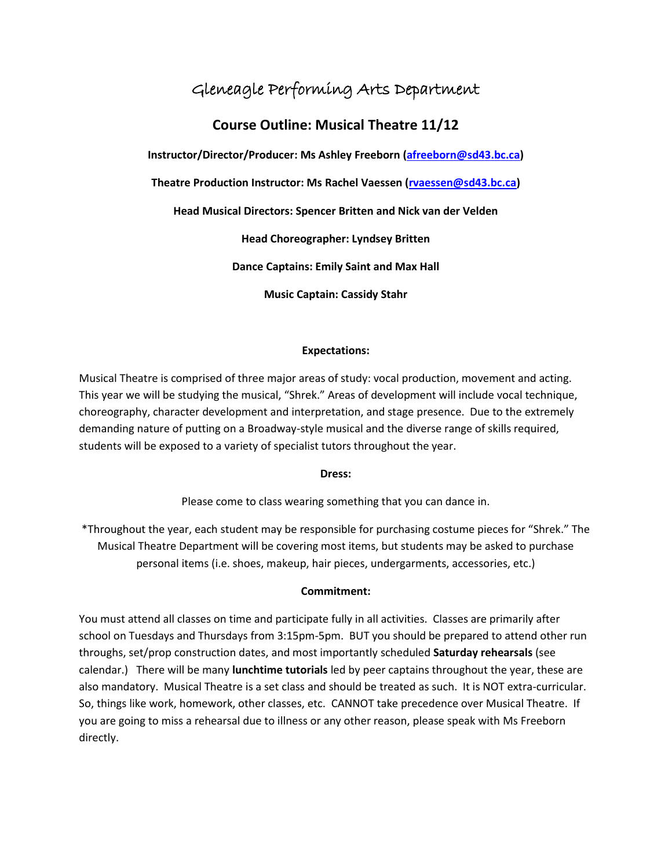# Gleneagle Performing Arts Department

# **Course Outline: Musical Theatre 11/12**

**Instructor/Director/Producer: Ms Ashley Freeborn [\(afreeborn@sd43.bc.ca\)](mailto:afreeborn@sd43.bc.ca)**

**Theatre Production Instructor: Ms Rachel Vaessen [\(rvaessen@sd43.bc.ca\)](mailto:rvaessen@sd43.bc.ca)**

**Head Musical Directors: Spencer Britten and Nick van der Velden**

**Head Choreographer: Lyndsey Britten**

**Dance Captains: Emily Saint and Max Hall**

**Music Captain: Cassidy Stahr**

## **Expectations:**

Musical Theatre is comprised of three major areas of study: vocal production, movement and acting. This year we will be studying the musical, "Shrek." Areas of development will include vocal technique, choreography, character development and interpretation, and stage presence. Due to the extremely demanding nature of putting on a Broadway-style musical and the diverse range of skills required, students will be exposed to a variety of specialist tutors throughout the year.

**Dress:**

Please come to class wearing something that you can dance in.

\*Throughout the year, each student may be responsible for purchasing costume pieces for "Shrek." The Musical Theatre Department will be covering most items, but students may be asked to purchase personal items (i.e. shoes, makeup, hair pieces, undergarments, accessories, etc.)

## **Commitment:**

You must attend all classes on time and participate fully in all activities. Classes are primarily after school on Tuesdays and Thursdays from 3:15pm-5pm. BUT you should be prepared to attend other run throughs, set/prop construction dates, and most importantly scheduled **Saturday rehearsals** (see calendar.) There will be many **lunchtime tutorials** led by peer captains throughout the year, these are also mandatory. Musical Theatre is a set class and should be treated as such. It is NOT extra-curricular. So, things like work, homework, other classes, etc. CANNOT take precedence over Musical Theatre. If you are going to miss a rehearsal due to illness or any other reason, please speak with Ms Freeborn directly.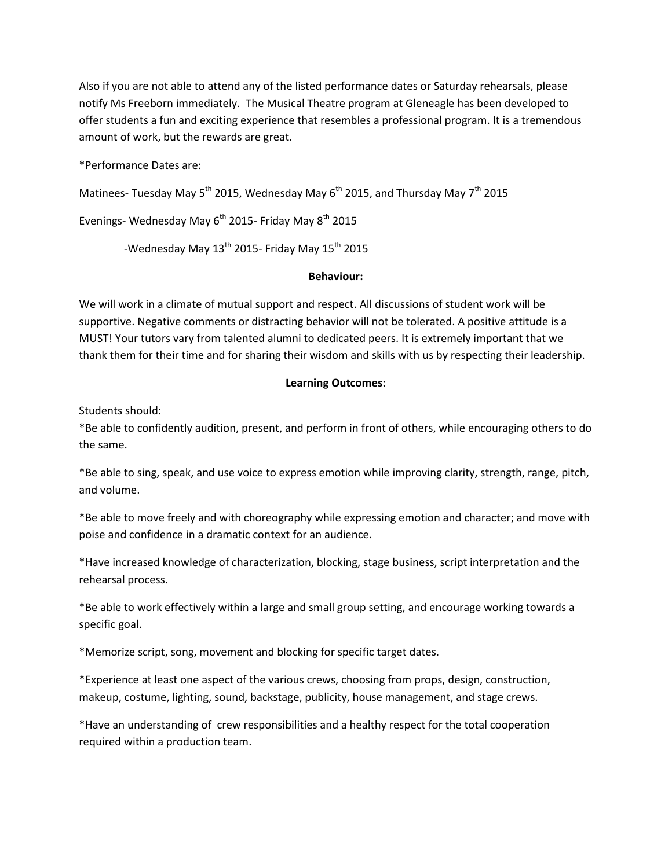Also if you are not able to attend any of the listed performance dates or Saturday rehearsals, please notify Ms Freeborn immediately. The Musical Theatre program at Gleneagle has been developed to offer students a fun and exciting experience that resembles a professional program. It is a tremendous amount of work, but the rewards are great.

\*Performance Dates are:

Matinees- Tuesday May 5<sup>th</sup> 2015, Wednesday May 6<sup>th</sup> 2015, and Thursday May 7<sup>th</sup> 2015

Evenings- Wednesday May  $6<sup>th</sup>$  2015- Friday May  $8<sup>th</sup>$  2015

-Wednesday May  $13^{th}$  2015- Friday May  $15^{th}$  2015

#### **Behaviour:**

We will work in a climate of mutual support and respect. All discussions of student work will be supportive. Negative comments or distracting behavior will not be tolerated. A positive attitude is a MUST! Your tutors vary from talented alumni to dedicated peers. It is extremely important that we thank them for their time and for sharing their wisdom and skills with us by respecting their leadership.

## **Learning Outcomes:**

Students should:

\*Be able to confidently audition, present, and perform in front of others, while encouraging others to do the same.

\*Be able to sing, speak, and use voice to express emotion while improving clarity, strength, range, pitch, and volume.

\*Be able to move freely and with choreography while expressing emotion and character; and move with poise and confidence in a dramatic context for an audience.

\*Have increased knowledge of characterization, blocking, stage business, script interpretation and the rehearsal process.

\*Be able to work effectively within a large and small group setting, and encourage working towards a specific goal.

\*Memorize script, song, movement and blocking for specific target dates.

\*Experience at least one aspect of the various crews, choosing from props, design, construction, makeup, costume, lighting, sound, backstage, publicity, house management, and stage crews.

\*Have an understanding of crew responsibilities and a healthy respect for the total cooperation required within a production team.